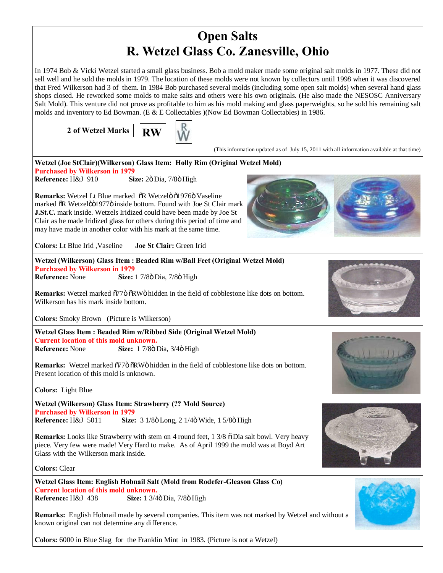## **Open Salts R. Wetzel Glass Co. Zanesville, Ohio**

In 1974 Bob & Vicki Wetzel started a small glass business. Bob a mold maker made some original salt molds in 1977. These did not sell well and he sold the molds in 1979. The location of these molds were not known by collectors until 1998 when it was discovered that Fred Wilkerson had 3 of them. In 1984 Bob purchased several molds (including some open salt molds) when several hand glass shops closed. He reworked some molds to make salts and others were his own originals. (He also made the NESOSC Anniversary Salt Mold). This venture did not prove as profitable to him as his mold making and glass paperweights, so he sold his remaining salt molds and inventory to Ed Bowman. (E  $&E$  Collectables )(Now Ed Bowman Collectables) in 1986.

**2** of Wetzel Marks  $\vert \cdot \vert$  **RW** 



(This information updated as of July 15, 2011 with all information available at that time)



**Remarks:** Wetzel Lt Blue marked  $\delta$ R Wetzelö  $\delta$ 1976 Vaseline marked öR Wetzelöö1977ö inside bottom. Found with Joe St Clair mark **J.St.C.** mark inside. Wetzels Iridized could have been made by Joe St Clair as he made Iridized glass for others during this period of time and may have made in another color with his mark at the same time.

**Colors:** Lt Blue Irid ,Vaseline **Joe St Clair:** Green Irid

## **Wetzel (Wilkerson) Glass Item : Beaded Rim w/Ball Feet (Original Wetzel Mold) Purchased by Wilkerson in 1979 Reference:** None **Size:** 1 7/8 $\ddot{\text{o}}$  Dia, 7/8 $\ddot{\text{o}}$  High

**Remarks:** Wetzel marked  $\frac{5776}{8}$  RW $\ddot{\text{o}}$  hidden in the field of cobblestone like dots on bottom. Wilkerson has his mark inside bottom.

**Colors:** Smoky Brown (Picture is Wilkerson)

**Wetzel Glass Item : Beaded Rim w/Ribbed Side (Original Wetzel Mold) Current location of this mold unknown. Reference:** None **Size:** 1 7/8ö Dia, 3/4ö High

**Remarks:** Wetzel marked  $\frac{6776}{6}$  RW $\ddot{\text{o}}$  hidden in the field of cobblestone like dots on bottom. Present location of this mold is unknown.

**Colors:** Light Blue

**Wetzel (Wilkerson) Glass Item: Strawberry (?? Mold Source) Purchased by Wilkerson in 1979 Reference:** H&J 5011 **Size:** 3 1/8ö Long, 2 1/4ö Wide, 1 5/8ö High

Remarks: Looks like Strawberry with stem on 4 round feet, 1 3/8  $\tilde{o}$  Dia salt bowl. Very heavy piece. Very few were made! Very Hard to make. As of April 1999 the mold was at Boyd Art Glass with the Wilkerson mark inside.

**Colors:** Clear

**Wetzel Glass Item: English Hobnail Salt (Mold from Rodefer-Gleason Glass Co) Current location of this mold unknown. Reference:** H&J 438 **Size:** 1 3/4 $\ddot{o}$  Dia, 7/8 $\ddot{o}$  High

**Remarks:** English Hobnail made by several companies. This item was not marked by Wetzel and without a known original can not determine any difference.

**Colors:** 6000 in Blue Slag for the Franklin Mint in 1983. (Picture is not a Wetzel)









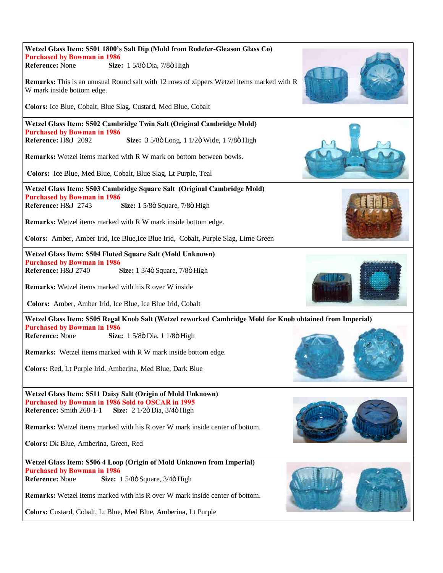| Wetzel Glass Item: S501 1800's Salt Dip (Mold from Rodefer-Gleason Glass Co)                                                   |  |
|--------------------------------------------------------------------------------------------------------------------------------|--|
| <b>Purchased by Bowman in 1986</b>                                                                                             |  |
| <b>Reference: None</b><br>Size: 1 5/8ö Dia, 7/8ö High                                                                          |  |
| <b>Remarks:</b> This is an unusual Round salt with 12 rows of zippers Wetzel items marked with R<br>W mark inside bottom edge. |  |
| Colors: Ice Blue, Cobalt, Blue Slag, Custard, Med Blue, Cobalt                                                                 |  |
| Wetzel Glass Item: S502 Cambridge Twin Salt (Original Cambridge Mold)                                                          |  |
| <b>Purchased by Bowman in 1986</b><br>Reference: H&J 2092<br>Size: 3 5/8ö Long, 1 1/2ö Wide, 1 7/8ö High                       |  |
| <b>Remarks:</b> Wetzel items marked with R W mark on bottom between bowls.                                                     |  |
| Colors: Ice Blue, Med Blue, Cobalt, Blue Slag, Lt Purple, Teal                                                                 |  |
| Wetzel Glass Item: S503 Cambridge Square Salt (Original Cambridge Mold)                                                        |  |
| <b>Purchased by Bowman in 1986</b>                                                                                             |  |
| Reference: H&J 2743<br>Size: 1 5/8ö Square, 7/8ö High                                                                          |  |
| Remarks: Wetzel items marked with R W mark inside bottom edge.                                                                 |  |
| Colors: Amber, Amber Irid, Ice Blue, Ice Blue Irid, Cobalt, Purple Slag, Lime Green                                            |  |
| Wetzel Glass Item: S504 Fluted Square Salt (Mold Unknown)                                                                      |  |
| <b>Purchased by Bowman in 1986</b><br>Reference: H&J 2740                                                                      |  |
| Size: 1 3/4ö Square, 7/8ö High                                                                                                 |  |
| <b>Remarks:</b> Wetzel items marked with his R over W inside                                                                   |  |
| Colors: Amber, Amber Irid, Ice Blue, Ice Blue Irid, Cobalt                                                                     |  |
| Wetzel Glass Item: S505 Regal Knob Salt (Wetzel reworked Cambridge Mold for Knob obtained from Imperial)                       |  |
| <b>Purchased by Bowman in 1986</b>                                                                                             |  |
| <b>Reference: None</b><br>Size: 1 5/8ö Dia, 1 1/8ö High                                                                        |  |
| <b>Remarks:</b> Wetzel items marked with R W mark inside bottom edge.                                                          |  |
| Colors: Red, Lt Purple Irid. Amberina, Med Blue, Dark Blue                                                                     |  |
|                                                                                                                                |  |
| Wetzel Glass Item: S511 Daisy Salt (Origin of Mold Unknown)                                                                    |  |
| Purchased by Bowman in 1986 Sold to OSCAR in 1995                                                                              |  |
| Reference: Smith 268-1-1<br>Size: 2 1/2ö Dia, 3/4ö High                                                                        |  |
| <b>Remarks:</b> Wetzel items marked with his R over W mark inside center of bottom.                                            |  |
| Colors: Dk Blue, Amberina, Green, Red                                                                                          |  |
| Wetzel Glass Item: S506 4 Loop (Origin of Mold Unknown from Imperial)                                                          |  |
| <b>Purchased by Bowman in 1986</b>                                                                                             |  |
| Reference: None<br>Size: 1 5/8ö Square, 3/4ö High                                                                              |  |
| <b>Remarks:</b> Wetzel items marked with his R over W mark inside center of bottom.                                            |  |
| Colors: Custard, Cobalt, Lt Blue, Med Blue, Amberina, Lt Purple                                                                |  |